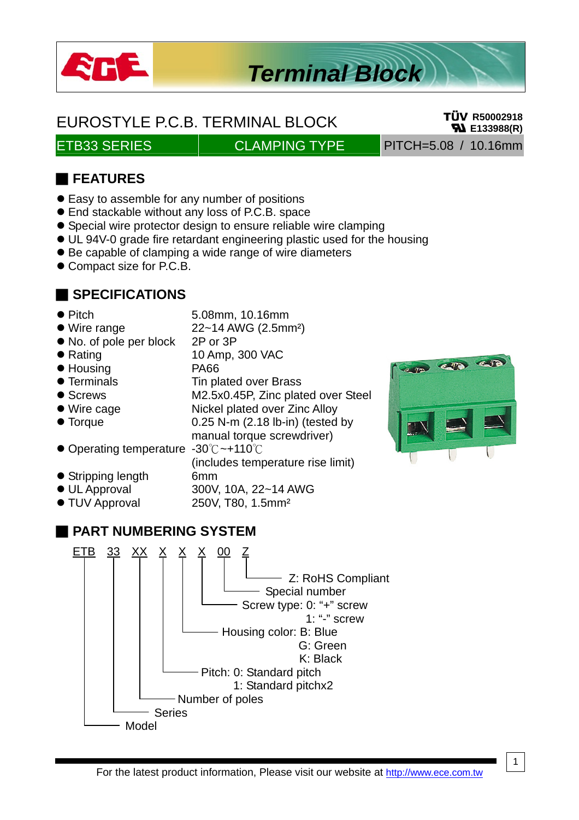

# *Terminal Block*

## EUROSTYLE P.C.B. TERMINAL BLOCK TÜV R50002918

#### ETB33 SERIES CLAMPING TYPE PITCH=5.08 / 10.16mm

**FL** E133988(R)

### ■ **FEATURES**

- Easy to assemble for any number of positions
- End stackable without any loss of P.C.B. space
- Special wire protector design to ensure reliable wire clamping
- UL 94V-0 grade fire retardant engineering plastic used for the housing
- Be capable of clamping a wide range of wire diameters
- $\bullet$  Compact size for P.C.B.

#### ■ **SPECIFICATIONS**

- 
- Pitch 5.08mm, 10.16mm
- $\bullet$  Wire range  $22~-14$  AWG (2.5mm<sup>2</sup>)
- No. of pole per block 2P or 3P
- Rating 10 Amp, 300 VAC
- Housing PA66
- Terminals Tin plated over Brass
- Screws M2.5x0.45P, Zinc plated over Steel
- Wire cage Nickel plated over Zinc Alloy
- $\bullet$  Torque  $0.25$  N-m (2.18 lb-in) (tested by
- manual torque screwdriver) ● Operating temperature -30℃~+110℃

(includes temperature rise limit)

- Stripping length 6mm
- $\bullet$  UL Approval  $\bullet$  300V, 10A, 22~14 AWG
- TUV Approval 250V, T80, 1.5mm<sup>2</sup>





For the latest product information, Please visit our website at http://www.ece.com.tw

1